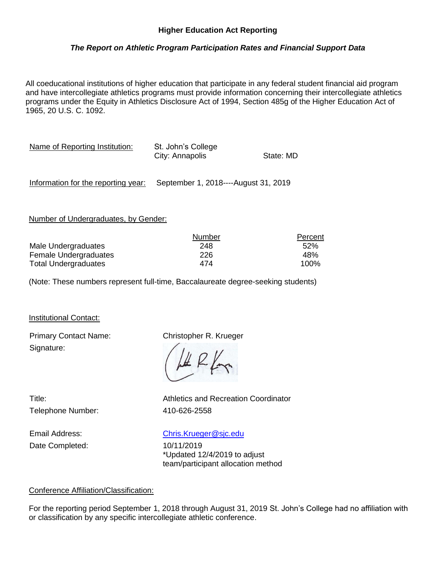## *The Report on Athletic Program Participation Rates and Financial Support Data*

All coeducational institutions of higher education that participate in any federal student financial aid program and have intercollegiate athletics programs must provide information concerning their intercollegiate athletics programs under the Equity in Athletics Disclosure Act of 1994, Section 485g of the Higher Education Act of 1965, 20 U.S. C. 1092.

| Name of Reporting Institution:      | St. John's College<br>City: Annapolis | State: MD |
|-------------------------------------|---------------------------------------|-----------|
| Information for the reporting year: | September 1, 2018----August 31, 2019  |           |

Number of Undergraduates, by Gender:

|                             | Number | Percent |
|-----------------------------|--------|---------|
| Male Undergraduates         | 248    | 52%     |
| Female Undergraduates       | 226    | 48%     |
| <b>Total Undergraduates</b> | 474    | 100%    |

(Note: These numbers represent full-time, Baccalaureate degree-seeking students)

Institutional Contact:

Primary Contact Name: Christopher R. Krueger Signature:

Telephone Number: 410-626-2558

Title: Athletics and Recreation Coordinator

Email Address: [Chris.Krueger@sjc.edu](mailto:Chris.Krueger@sjc.edu) Date Completed: 10/11/2019

\*Updated 12/4/2019 to adjust team/participant allocation method

#### Conference Affiliation/Classification:

For the reporting period September 1, 2018 through August 31, 2019 St. John's College had no affiliation with or classification by any specific intercollegiate athletic conference.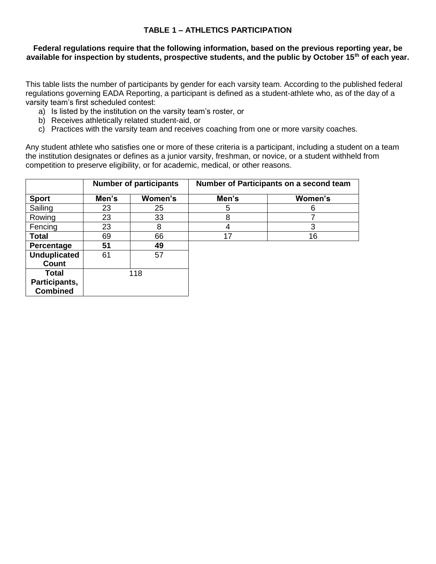## **TABLE 1 – ATHLETICS PARTICIPATION**

#### **Federal regulations require that the following information, based on the previous reporting year, be available for inspection by students, prospective students, and the public by October 15th of each year.**

This table lists the number of participants by gender for each varsity team. According to the published federal regulations governing EADA Reporting, a participant is defined as a student-athlete who, as of the day of a varsity team's first scheduled contest:

- a) Is listed by the institution on the varsity team's roster, or
- b) Receives athletically related student-aid, or
- c) Practices with the varsity team and receives coaching from one or more varsity coaches.

Any student athlete who satisfies one or more of these criteria is a participant, including a student on a team the institution designates or defines as a junior varsity, freshman, or novice, or a student withheld from competition to preserve eligibility, or for academic, medical, or other reasons.

|                     | <b>Number of participants</b> |         | Number of Participants on a second team |         |  |  |
|---------------------|-------------------------------|---------|-----------------------------------------|---------|--|--|
| <b>Sport</b>        | Men's                         | Women's | Men's                                   | Women's |  |  |
| Sailing             | 23                            | 25      | 5                                       | 6       |  |  |
| Rowing              | 23                            | 33      | 8                                       |         |  |  |
| Fencing             | 23                            | 8       | 4                                       | 3       |  |  |
| <b>Total</b>        | 69                            | 66      | 17                                      | 16      |  |  |
| Percentage          | 51                            | 49      |                                         |         |  |  |
| <b>Unduplicated</b> | 61                            | 57      |                                         |         |  |  |
| Count               |                               |         |                                         |         |  |  |
| <b>Total</b>        |                               | 118     |                                         |         |  |  |
| Participants,       |                               |         |                                         |         |  |  |
| <b>Combined</b>     |                               |         |                                         |         |  |  |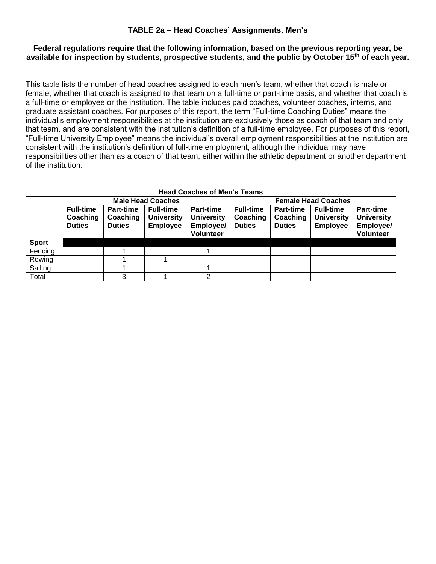### **TABLE 2a – Head Coaches' Assignments, Men's**

### **Federal regulations require that the following information, based on the previous reporting year, be available for inspection by students, prospective students, and the public by October 15th of each year.**

This table lists the number of head coaches assigned to each men's team, whether that coach is male or female, whether that coach is assigned to that team on a full-time or part-time basis, and whether that coach is a full-time or employee or the institution. The table includes paid coaches, volunteer coaches, interns, and graduate assistant coaches. For purposes of this report, the term "Full-time Coaching Duties" means the individual's employment responsibilities at the institution are exclusively those as coach of that team and only that team, and are consistent with the institution's definition of a full-time employee. For purposes of this report, "Full-time University Employee" means the individual's overall employment responsibilities at the institution are consistent with the institution's definition of full-time employment, although the individual may have responsibilities other than as a coach of that team, either within the athletic department or another department of the institution.

| <b>Head Coaches of Men's Teams</b> |                                               |                                        |                                                          |                                                          |                                               |                                        |                                                          |                                                                 |
|------------------------------------|-----------------------------------------------|----------------------------------------|----------------------------------------------------------|----------------------------------------------------------|-----------------------------------------------|----------------------------------------|----------------------------------------------------------|-----------------------------------------------------------------|
|                                    |                                               |                                        | <b>Male Head Coaches</b>                                 |                                                          | <b>Female Head Coaches</b>                    |                                        |                                                          |                                                                 |
|                                    | <b>Full-time</b><br>Coaching<br><b>Duties</b> | Part-time<br>Coaching<br><b>Duties</b> | <b>Full-time</b><br><b>University</b><br><b>Employee</b> | Part-time<br><b>University</b><br>Employee/<br>Volunteer | <b>Full-time</b><br>Coaching<br><b>Duties</b> | Part-time<br>Coaching<br><b>Duties</b> | <b>Full-time</b><br><b>University</b><br><b>Employee</b> | Part-time<br><b>University</b><br><b>Employee/</b><br>Volunteer |
| <b>Sport</b>                       |                                               |                                        |                                                          |                                                          |                                               |                                        |                                                          |                                                                 |
| Fencing                            |                                               |                                        |                                                          |                                                          |                                               |                                        |                                                          |                                                                 |
| Rowing                             |                                               |                                        |                                                          |                                                          |                                               |                                        |                                                          |                                                                 |
| Sailing                            |                                               |                                        |                                                          |                                                          |                                               |                                        |                                                          |                                                                 |
| Total                              |                                               | 3                                      |                                                          | າ                                                        |                                               |                                        |                                                          |                                                                 |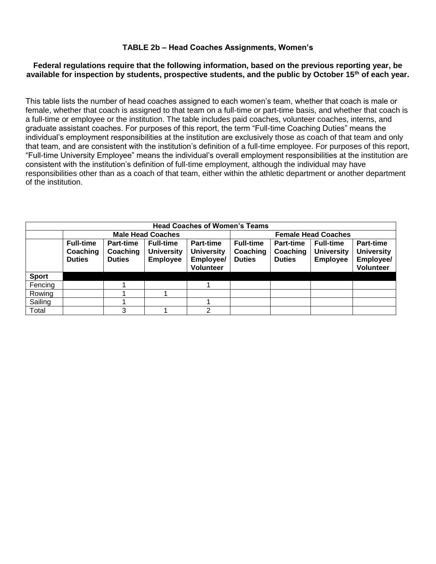#### **Federal regulations require that the following information, based on the previous reporting year, be available for inspection by students, prospective students, and the public by October 15th of each year.**

This table lists the number of head coaches assigned to each women's team, whether that coach is male or female, whether that coach is assigned to that team on a full-time or part-time basis, and whether that coach is a full-time or employee or the institution. The table includes paid coaches, volunteer coaches, interns, and graduate assistant coaches. For purposes of this report, the term "Full-time Coaching Duties" means the individual's employment responsibilities at the institution are exclusively those as coach of that team and only that team, and are consistent with the institution's definition of a full-time employee. For purposes of this report, "Full-time University Employee" means the individual's overall employment responsibilities at the institution are consistent with the institution's definition of full-time employment, although the individual may have responsibilities other than as a coach of that team, either within the athletic department or another department of the institution.

| <b>Head Coaches of Women's Teams</b> |                                               |                                               |                                                          |                                                                        |                                               |                                        |                                                          |                                                                 |
|--------------------------------------|-----------------------------------------------|-----------------------------------------------|----------------------------------------------------------|------------------------------------------------------------------------|-----------------------------------------------|----------------------------------------|----------------------------------------------------------|-----------------------------------------------------------------|
|                                      |                                               |                                               | <b>Male Head Coaches</b>                                 |                                                                        | <b>Female Head Coaches</b>                    |                                        |                                                          |                                                                 |
|                                      | <b>Full-time</b><br>Coaching<br><b>Duties</b> | <b>Part-time</b><br>Coaching<br><b>Duties</b> | <b>Full-time</b><br><b>University</b><br><b>Employee</b> | <b>Part-time</b><br><b>University</b><br>Employee/<br><b>Volunteer</b> | <b>Full-time</b><br>Coaching<br><b>Duties</b> | Part-time<br>Coaching<br><b>Duties</b> | <b>Full-time</b><br><b>University</b><br><b>Employee</b> | <b>Part-time</b><br><b>University</b><br>Employee/<br>Volunteer |
| <b>Sport</b>                         |                                               |                                               |                                                          |                                                                        |                                               |                                        |                                                          |                                                                 |
| Fencing                              |                                               |                                               |                                                          |                                                                        |                                               |                                        |                                                          |                                                                 |
| Rowing                               |                                               |                                               |                                                          |                                                                        |                                               |                                        |                                                          |                                                                 |
| Sailing                              |                                               |                                               |                                                          |                                                                        |                                               |                                        |                                                          |                                                                 |
| Total                                |                                               | 3                                             |                                                          | っ                                                                      |                                               |                                        |                                                          |                                                                 |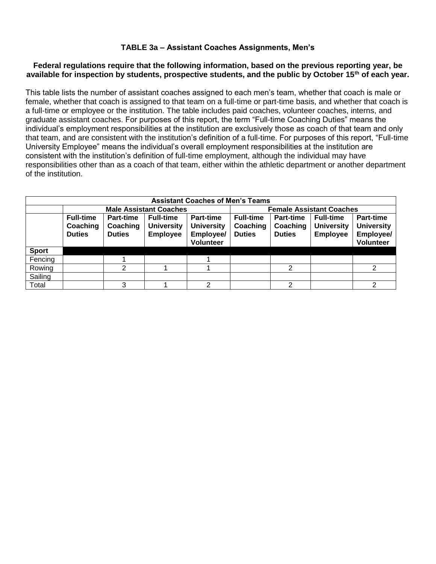## **TABLE 3a – Assistant Coaches Assignments, Men's**

#### **Federal regulations require that the following information, based on the previous reporting year, be available for inspection by students, prospective students, and the public by October 15th of each year.**

This table lists the number of assistant coaches assigned to each men's team, whether that coach is male or female, whether that coach is assigned to that team on a full-time or part-time basis, and whether that coach is a full-time or employee or the institution. The table includes paid coaches, volunteer coaches, interns, and graduate assistant coaches. For purposes of this report, the term "Full-time Coaching Duties" means the individual's employment responsibilities at the institution are exclusively those as coach of that team and only that team, and are consistent with the institution's definition of a full-time. For purposes of this report, "Full-time University Employee" means the individual's overall employment responsibilities at the institution are consistent with the institution's definition of full-time employment, although the individual may have responsibilities other than as a coach of that team, either within the athletic department or another department of the institution.

| <b>Assistant Coaches of Men's Teams</b> |                                               |                                        |                                                          |                                                                        |                                               |                                               |                                                          |                                                                 |
|-----------------------------------------|-----------------------------------------------|----------------------------------------|----------------------------------------------------------|------------------------------------------------------------------------|-----------------------------------------------|-----------------------------------------------|----------------------------------------------------------|-----------------------------------------------------------------|
|                                         |                                               |                                        | <b>Male Assistant Coaches</b>                            |                                                                        |                                               | <b>Female Assistant Coaches</b>               |                                                          |                                                                 |
|                                         | <b>Full-time</b><br>Coaching<br><b>Duties</b> | Part-time<br>Coaching<br><b>Duties</b> | <b>Full-time</b><br><b>University</b><br><b>Employee</b> | <b>Part-time</b><br><b>University</b><br>Employee/<br><b>Volunteer</b> | <b>Full-time</b><br>Coaching<br><b>Duties</b> | <b>Part-time</b><br>Coaching<br><b>Duties</b> | <b>Full-time</b><br><b>University</b><br><b>Employee</b> | <b>Part-time</b><br><b>University</b><br>Employee/<br>Volunteer |
| <b>Sport</b>                            |                                               |                                        |                                                          |                                                                        |                                               |                                               |                                                          |                                                                 |
| Fencing                                 |                                               |                                        |                                                          |                                                                        |                                               |                                               |                                                          |                                                                 |
| Rowing                                  |                                               | າ                                      |                                                          |                                                                        |                                               | 2                                             |                                                          |                                                                 |
| Sailing                                 |                                               |                                        |                                                          |                                                                        |                                               |                                               |                                                          |                                                                 |
| Total                                   |                                               | 3                                      |                                                          | 2                                                                      |                                               | 2                                             |                                                          | 2                                                               |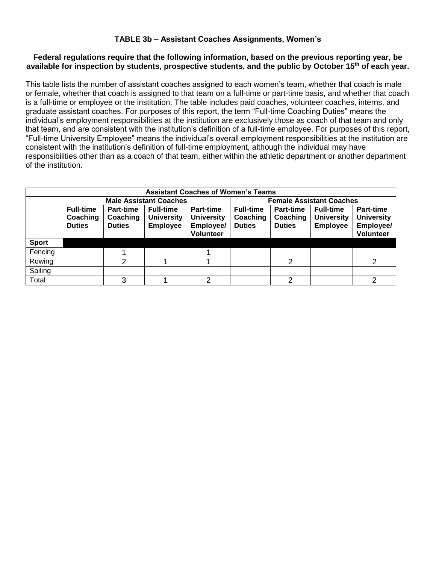## **TABLE 3b – Assistant Coaches Assignments, Women's**

#### **Federal regulations require that the following information, based on the previous reporting year, be available for inspection by students, prospective students, and the public by October 15th of each year.**

This table lists the number of assistant coaches assigned to each women's team, whether that coach is male or female, whether that coach is assigned to that team on a full-time or part-time basis, and whether that coach is a full-time or employee or the institution. The table includes paid coaches, volunteer coaches, interns, and graduate assistant coaches. For purposes of this report, the term "Full-time Coaching Duties" means the individual's employment responsibilities at the institution are exclusively those as coach of that team and only that team, and are consistent with the institution's definition of a full-time employee. For purposes of this report, "Full-time University Employee" means the individual's overall employment responsibilities at the institution are consistent with the institution's definition of full-time employment, although the individual may have responsibilities other than as a coach of that team, either within the athletic department or another department of the institution.

| <b>Assistant Coaches of Women's Teams</b> |                                               |                                               |                                                          |                                                                 |                                               |                                        |                                                          |                                                                 |
|-------------------------------------------|-----------------------------------------------|-----------------------------------------------|----------------------------------------------------------|-----------------------------------------------------------------|-----------------------------------------------|----------------------------------------|----------------------------------------------------------|-----------------------------------------------------------------|
|                                           |                                               |                                               | <b>Male Assistant Coaches</b>                            |                                                                 |                                               | <b>Female Assistant Coaches</b>        |                                                          |                                                                 |
|                                           | <b>Full-time</b><br>Coaching<br><b>Duties</b> | <b>Part-time</b><br>Coaching<br><b>Duties</b> | <b>Full-time</b><br><b>University</b><br><b>Employee</b> | Part-time<br><b>University</b><br>Employee/<br><b>Volunteer</b> | <b>Full-time</b><br>Coaching<br><b>Duties</b> | Part-time<br>Coaching<br><b>Duties</b> | <b>Full-time</b><br><b>University</b><br><b>Employee</b> | Part-time<br><b>University</b><br><b>Employee/</b><br>Volunteer |
| <b>Sport</b>                              |                                               |                                               |                                                          |                                                                 |                                               |                                        |                                                          |                                                                 |
| Fencing                                   |                                               |                                               |                                                          |                                                                 |                                               |                                        |                                                          |                                                                 |
| Rowing                                    |                                               | C                                             |                                                          |                                                                 |                                               | $\mathcal{P}$                          |                                                          | 2                                                               |
| Sailing                                   |                                               |                                               |                                                          |                                                                 |                                               |                                        |                                                          |                                                                 |
| Total                                     |                                               | 3                                             |                                                          | $\mathcal{D}$                                                   |                                               | 2                                      |                                                          | 2                                                               |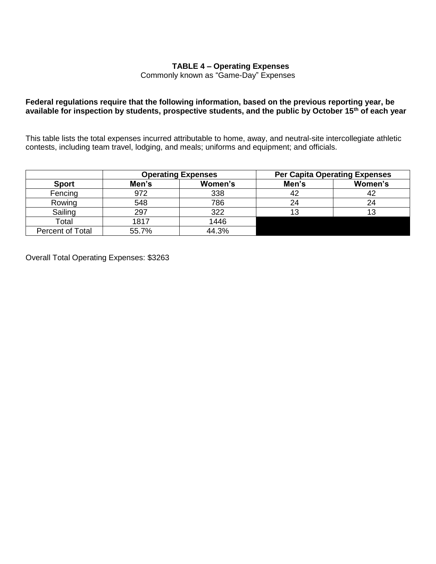### **TABLE 4 – Operating Expenses**

Commonly known as "Game-Day" Expenses

#### **Federal regulations require that the following information, based on the previous reporting year, be available for inspection by students, prospective students, and the public by October 15th of each year**

This table lists the total expenses incurred attributable to home, away, and neutral-site intercollegiate athletic contests, including team travel, lodging, and meals; uniforms and equipment; and officials.

|                  | <b>Operating Expenses</b> |         | <b>Per Capita Operating Expenses</b> |         |
|------------------|---------------------------|---------|--------------------------------------|---------|
| <b>Sport</b>     | Men's                     | Women's | Men's                                | Women's |
| Fencing          | 972                       | 338     | 42                                   |         |
| Rowing           | 548                       | 786     | 24                                   |         |
| Sailing          | 297                       | 322     | 13                                   |         |
| Total            | 1817                      | 1446    |                                      |         |
| Percent of Total | 55.7%                     | 44.3%   |                                      |         |

Overall Total Operating Expenses: \$3263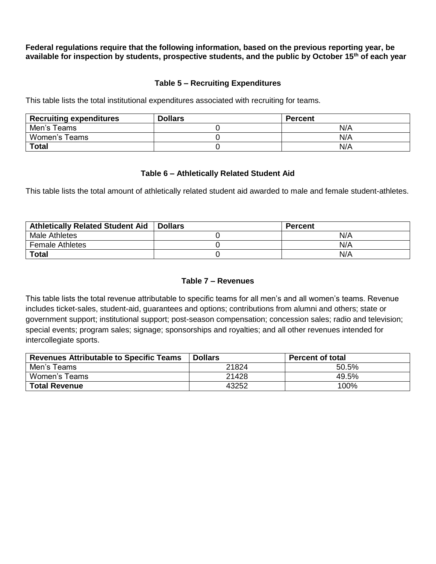**Federal regulations require that the following information, based on the previous reporting year, be available for inspection by students, prospective students, and the public by October 15th of each year**

#### **Table 5 – Recruiting Expenditures**

This table lists the total institutional expenditures associated with recruiting for teams.

| <b>Recruiting expenditures</b> | <b>Dollars</b> | <b>Percent</b> |
|--------------------------------|----------------|----------------|
| Men's Teams                    |                | N/A            |
| Women's Teams                  |                | N/A            |
| <b>Total</b>                   |                | N/A            |

#### **Table 6 – Athletically Related Student Aid**

This table lists the total amount of athletically related student aid awarded to male and female student-athletes.

| <b>Athletically Related Student Aid</b> | <b>Dollars</b> | <b>Percent</b> |
|-----------------------------------------|----------------|----------------|
| Male Athletes                           |                | N/A            |
| <b>Female Athletes</b>                  |                | N/A            |
| <b>Total</b>                            |                | N/A            |

#### **Table 7 – Revenues**

This table lists the total revenue attributable to specific teams for all men's and all women's teams. Revenue includes ticket-sales, student-aid, guarantees and options; contributions from alumni and others; state or government support; institutional support; post-season compensation; concession sales; radio and television; special events; program sales; signage; sponsorships and royalties; and all other revenues intended for intercollegiate sports.

| <b>Revenues Attributable to Specific Teams</b> | <b>Dollars</b> | <b>Percent of total</b> |
|------------------------------------------------|----------------|-------------------------|
| Men's Teams                                    | 21824          | 50.5%                   |
| Women's Teams                                  | 21428          | 49.5%                   |
| <b>Total Revenue</b>                           | 43252          | 100%                    |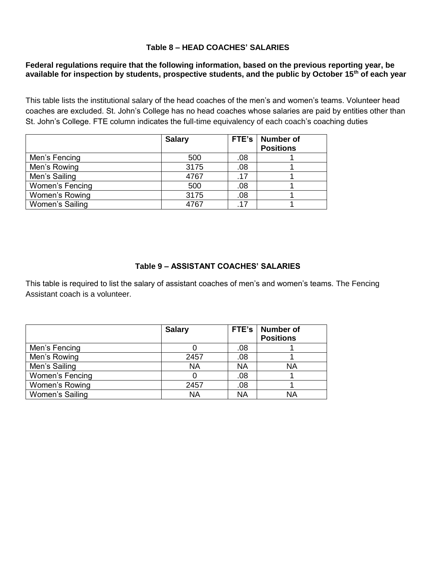### **Table 8 – HEAD COACHES' SALARIES**

### **Federal regulations require that the following information, based on the previous reporting year, be available for inspection by students, prospective students, and the public by October 15th of each year**

This table lists the institutional salary of the head coaches of the men's and women's teams. Volunteer head coaches are excluded. St. John's College has no head coaches whose salaries are paid by entities other than St. John's College. FTE column indicates the full-time equivalency of each coach's coaching duties

|                 | <b>Salary</b> |     | FTE's   Number of<br><b>Positions</b> |
|-----------------|---------------|-----|---------------------------------------|
| Men's Fencing   | 500           | .08 |                                       |
| Men's Rowing    | 3175          | .08 |                                       |
| Men's Sailing   | 4767          | .17 |                                       |
| Women's Fencing | 500           | .08 |                                       |
| Women's Rowing  | 3175          | .08 |                                       |
| Women's Sailing | 4767          | 17  |                                       |

# **Table 9 – ASSISTANT COACHES' SALARIES**

This table is required to list the salary of assistant coaches of men's and women's teams. The Fencing Assistant coach is a volunteer.

|                 | <b>Salary</b> | FTE's | <b>Number of</b><br><b>Positions</b> |
|-----------------|---------------|-------|--------------------------------------|
| Men's Fencing   |               | .08   |                                      |
| Men's Rowing    | 2457          | .08   |                                      |
| Men's Sailing   | <b>NA</b>     | ΝA    | ΝA                                   |
| Women's Fencing |               | .08   |                                      |
| Women's Rowing  | 2457          | .08   |                                      |
| Women's Sailing | ΝA            | NA    | NA                                   |